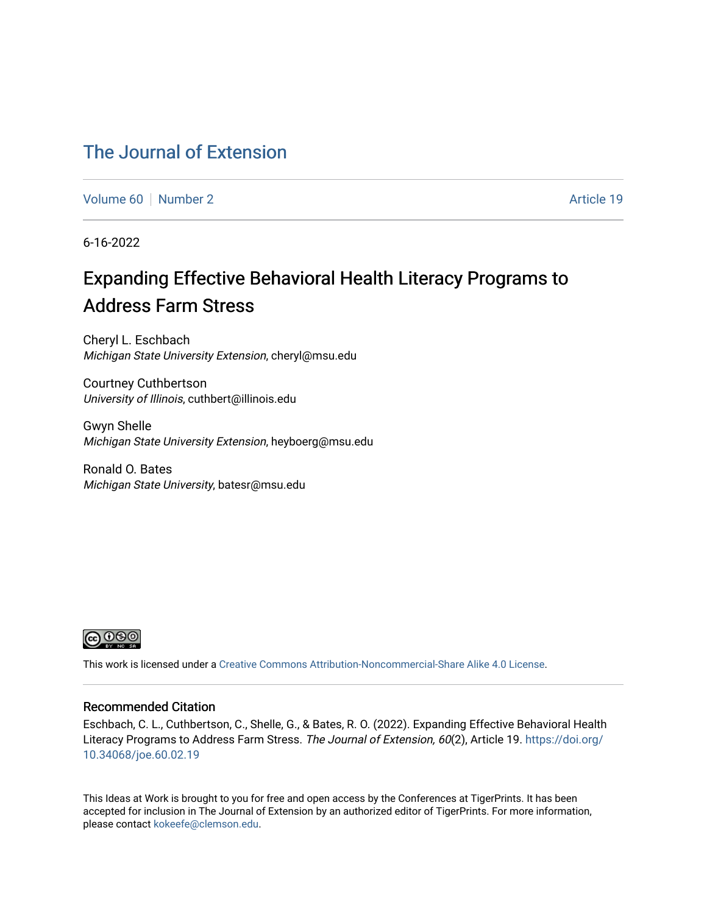# [The Journal of Extension](https://tigerprints.clemson.edu/joe)

[Volume 60](https://tigerprints.clemson.edu/joe/vol60) [Number 2](https://tigerprints.clemson.edu/joe/vol60/iss2) Article 19

6-16-2022

# Expanding Effective Behavioral Health Literacy Programs to Address Farm Stress

Cheryl L. Eschbach Michigan State University Extension, cheryl@msu.edu

Courtney Cuthbertson University of Illinois, cuthbert@illinois.edu

Gwyn Shelle Michigan State University Extension, heyboerg@msu.edu

Ronald O. Bates Michigan State University, batesr@msu.edu



This work is licensed under a [Creative Commons Attribution-Noncommercial-Share Alike 4.0 License.](https://creativecommons.org/licenses/by-nc-sa/4.0/)

#### Recommended Citation

Eschbach, C. L., Cuthbertson, C., Shelle, G., & Bates, R. O. (2022). Expanding Effective Behavioral Health Literacy Programs to Address Farm Stress. The Journal of Extension, 60(2), Article 19. [https://doi.org/](https://doi.org/10.34068/joe.60.02.19) [10.34068/joe.60.02.19](https://doi.org/10.34068/joe.60.02.19) 

This Ideas at Work is brought to you for free and open access by the Conferences at TigerPrints. It has been accepted for inclusion in The Journal of Extension by an authorized editor of TigerPrints. For more information, please contact [kokeefe@clemson.edu](mailto:kokeefe@clemson.edu).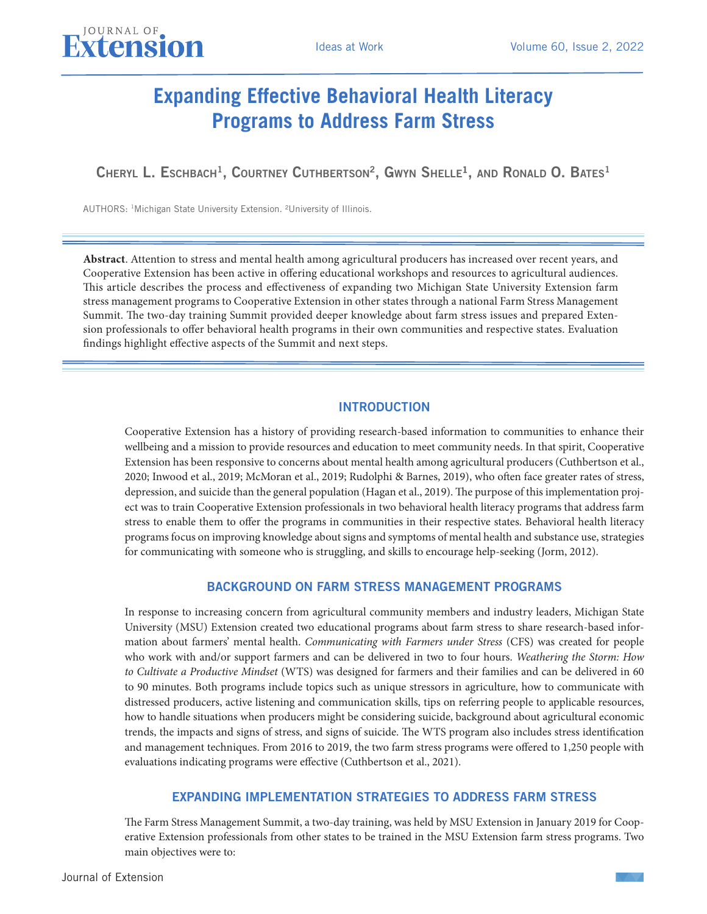# **Expanding Effective Behavioral Health Literacy Programs to Address Farm Stress**

CHERYL L. ESCHBACH<sup>1</sup>, COURTNEY CUTHBERTSON<sup>2</sup>, GWYN SHELLE<sup>1</sup>, AND RONALD O. BATES<sup>1</sup>

AUTHORS: 1Michigan State University Extension. ²University of Illinois.

JOURNAL OF

**Abstract**. Attention to stress and mental health among agricultural producers has increased over recent years, and Cooperative Extension has been active in offering educational workshops and resources to agricultural audiences. This article describes the process and effectiveness of expanding two Michigan State University Extension farm stress management programs to Cooperative Extension in other states through a national Farm Stress Management Summit. The two-day training Summit provided deeper knowledge about farm stress issues and prepared Extension professionals to offer behavioral health programs in their own communities and respective states. Evaluation findings highlight effective aspects of the Summit and next steps.

#### INTRODUCTION

Cooperative Extension has a history of providing research-based information to communities to enhance their wellbeing and a mission to provide resources and education to meet community needs. In that spirit, Cooperative Extension has been responsive to concerns about mental health among agricultural producers (Cuthbertson et al., 2020; Inwood et al., 2019; McMoran et al., 2019; Rudolphi & Barnes, 2019), who often face greater rates of stress, depression, and suicide than the general population (Hagan et al., 2019). The purpose of this implementation project was to train Cooperative Extension professionals in two behavioral health literacy programs that address farm stress to enable them to offer the programs in communities in their respective states. Behavioral health literacy programs focus on improving knowledge about signs and symptoms of mental health and substance use, strategies for communicating with someone who is struggling, and skills to encourage help-seeking (Jorm, 2012).

#### BACKGROUND ON FARM STRESS MANAGEMENT PROGRAMS

In response to increasing concern from agricultural community members and industry leaders, Michigan State University (MSU) Extension created two educational programs about farm stress to share research-based information about farmers' mental health. *Communicating with Farmers under Stress* (CFS) was created for people who work with and/or support farmers and can be delivered in two to four hours. *Weathering the Storm: How to Cultivate a Productive Mindset* (WTS) was designed for farmers and their families and can be delivered in 60 to 90 minutes. Both programs include topics such as unique stressors in agriculture, how to communicate with distressed producers, active listening and communication skills, tips on referring people to applicable resources, how to handle situations when producers might be considering suicide, background about agricultural economic trends, the impacts and signs of stress, and signs of suicide. The WTS program also includes stress identification and management techniques. From 2016 to 2019, the two farm stress programs were offered to 1,250 people with evaluations indicating programs were effective (Cuthbertson et al., 2021).

#### EXPANDING IMPLEMENTATION STRATEGIES TO ADDRESS FARM STRESS

The Farm Stress Management Summit, a two-day training, was held by MSU Extension in January 2019 for Cooperative Extension professionals from other states to be trained in the MSU Extension farm stress programs. Two main objectives were to:

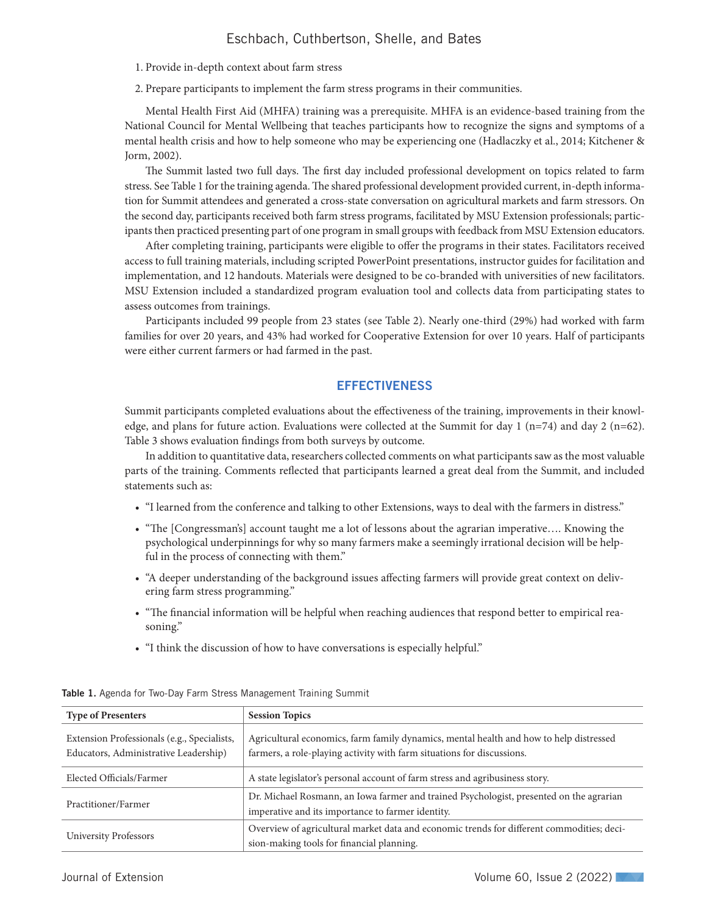### Eschbach, Cuthbertson, Shelle, and Bates

- 1. Provide in-depth context about farm stress
- 2. Prepare participants to implement the farm stress programs in their communities.

Mental Health First Aid (MHFA) training was a prerequisite. MHFA is an evidence-based training from the National Council for Mental Wellbeing that teaches participants how to recognize the signs and symptoms of a mental health crisis and how to help someone who may be experiencing one (Hadlaczky et al., 2014; Kitchener & Jorm, 2002).

The Summit lasted two full days. The first day included professional development on topics related to farm stress. See Table 1 for the training agenda. The shared professional development provided current, in-depth information for Summit attendees and generated a cross-state conversation on agricultural markets and farm stressors. On the second day, participants received both farm stress programs, facilitated by MSU Extension professionals; participants then practiced presenting part of one program in small groups with feedback from MSU Extension educators.

After completing training, participants were eligible to offer the programs in their states. Facilitators received access to full training materials, including scripted PowerPoint presentations, instructor guides for facilitation and implementation, and 12 handouts. Materials were designed to be co-branded with universities of new facilitators. MSU Extension included a standardized program evaluation tool and collects data from participating states to assess outcomes from trainings.

Participants included 99 people from 23 states (see Table 2). Nearly one-third (29%) had worked with farm families for over 20 years, and 43% had worked for Cooperative Extension for over 10 years. Half of participants were either current farmers or had farmed in the past.

#### **EFFECTIVENESS**

Summit participants completed evaluations about the effectiveness of the training, improvements in their knowledge, and plans for future action. Evaluations were collected at the Summit for day  $1 \text{ (n=74)}$  and day  $2 \text{ (n=62)}$ . Table 3 shows evaluation findings from both surveys by outcome.

In addition to quantitative data, researchers collected comments on what participants saw as the most valuable parts of the training. Comments reflected that participants learned a great deal from the Summit, and included statements such as:

- "I learned from the conference and talking to other Extensions, ways to deal with the farmers in distress."
- "The [Congressman's] account taught me a lot of lessons about the agrarian imperative.... Knowing the psychological underpinnings for why so many farmers make a seemingly irrational decision will be helpful in the process of connecting with them."
- "A deeper understanding of the background issues affecting farmers will provide great context on delivering farm stress programming."
- "The financial information will be helpful when reaching audiences that respond better to empirical reasoning."
- "I think the discussion of how to have conversations is especially helpful."

| <b>Type of Presenters</b>                                                            | <b>Session Topics</b>                                                                                                                                            |
|--------------------------------------------------------------------------------------|------------------------------------------------------------------------------------------------------------------------------------------------------------------|
| Extension Professionals (e.g., Specialists,<br>Educators, Administrative Leadership) | Agricultural economics, farm family dynamics, mental health and how to help distressed<br>farmers, a role-playing activity with farm situations for discussions. |
| Elected Officials/Farmer                                                             | A state legislator's personal account of farm stress and agribusiness story.                                                                                     |
| Practitioner/Farmer                                                                  | Dr. Michael Rosmann, an Iowa farmer and trained Psychologist, presented on the agrarian<br>imperative and its importance to farmer identity.                     |
| University Professors                                                                | Overview of agricultural market data and economic trends for different commodities; deci-<br>sion-making tools for financial planning.                           |

Table 1. Agenda for Two-Day Farm Stress Management Training Summit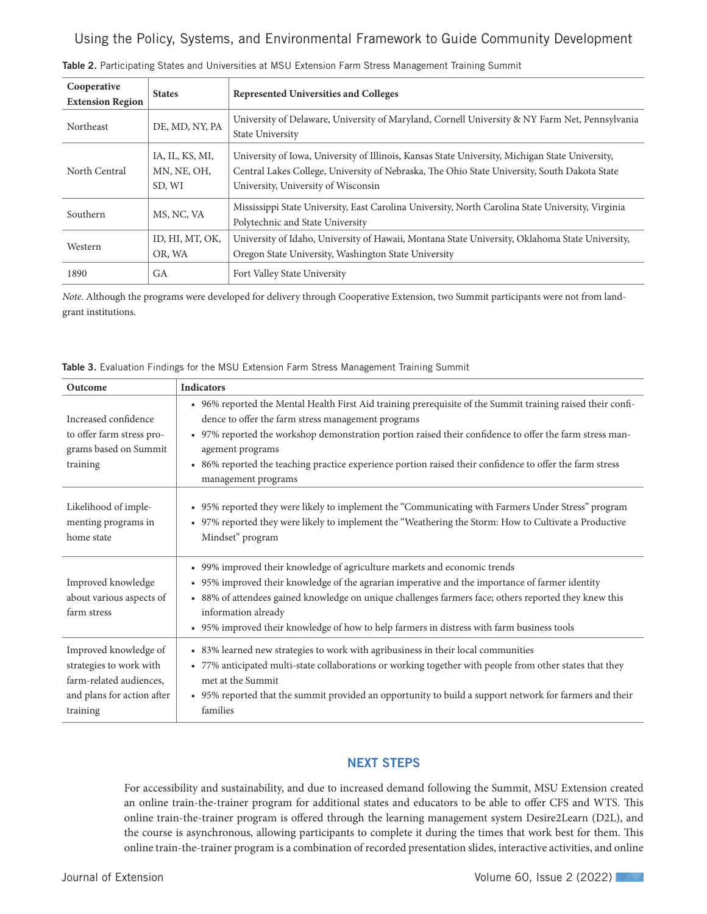Using the Policy, Systems, and Environmental Framework to Guide Community Development

| Cooperative<br><b>Extension Region</b> | <b>States</b>   | <b>Represented Universities and Colleges</b>                                                      |
|----------------------------------------|-----------------|---------------------------------------------------------------------------------------------------|
|                                        |                 |                                                                                                   |
| Northeast                              | DE, MD, NY, PA  | University of Delaware, University of Maryland, Cornell University & NY Farm Net, Pennsylvania    |
|                                        |                 | <b>State University</b>                                                                           |
| North Central                          | IA, IL, KS, MI, | University of Iowa, University of Illinois, Kansas State University, Michigan State University,   |
|                                        | MN, NE, OH,     | Central Lakes College, University of Nebraska, The Ohio State University, South Dakota State      |
|                                        | SD, WI          | University, University of Wisconsin                                                               |
| Southern                               | MS, NC, VA      | Mississippi State University, East Carolina University, North Carolina State University, Virginia |
|                                        |                 | Polytechnic and State University                                                                  |
| Western                                | ID, HI, MT, OK, | University of Idaho, University of Hawaii, Montana State University, Oklahoma State University,   |
|                                        | OR, WA          | Oregon State University, Washington State University                                              |
| 1890                                   | GA              | Fort Valley State University                                                                      |

Table 2. Participating States and Universities at MSU Extension Farm Stress Management Training Summit

*Note*. Although the programs were developed for delivery through Cooperative Extension, two Summit participants were not from landgrant institutions.

| Table 3. Evaluation Findings for the MSU Extension Farm Stress Management Training Summit |  |
|-------------------------------------------------------------------------------------------|--|
|-------------------------------------------------------------------------------------------|--|

| Outcome                                                                                                               | <b>Indicators</b>                                                                                                                                                                                                                                                                                                                                                                                                                   |
|-----------------------------------------------------------------------------------------------------------------------|-------------------------------------------------------------------------------------------------------------------------------------------------------------------------------------------------------------------------------------------------------------------------------------------------------------------------------------------------------------------------------------------------------------------------------------|
| Increased confidence<br>to offer farm stress pro-<br>grams based on Summit<br>training                                | • 96% reported the Mental Health First Aid training prerequisite of the Summit training raised their confi-<br>dence to offer the farm stress management programs<br>• 97% reported the workshop demonstration portion raised their confidence to offer the farm stress man-<br>agement programs<br>• 86% reported the teaching practice experience portion raised their confidence to offer the farm stress<br>management programs |
| Likelihood of imple-<br>menting programs in<br>home state                                                             | • 95% reported they were likely to implement the "Communicating with Farmers Under Stress" program<br>• 97% reported they were likely to implement the "Weathering the Storm: How to Cultivate a Productive<br>Mindset" program                                                                                                                                                                                                     |
| Improved knowledge<br>about various aspects of<br>farm stress                                                         | • 99% improved their knowledge of agriculture markets and economic trends<br>• 95% improved their knowledge of the agrarian imperative and the importance of farmer identity<br>• 88% of attendees gained knowledge on unique challenges farmers face; others reported they knew this<br>information already<br>• 95% improved their knowledge of how to help farmers in distress with farm business tools                          |
| Improved knowledge of<br>strategies to work with<br>farm-related audiences,<br>and plans for action after<br>training | • 83% learned new strategies to work with agribusiness in their local communities<br>• 77% anticipated multi-state collaborations or working together with people from other states that they<br>met at the Summit<br>• 95% reported that the summit provided an opportunity to build a support network for farmers and their<br>families                                                                                           |

### NEXT STEPS

For accessibility and sustainability, and due to increased demand following the Summit, MSU Extension created an online train-the-trainer program for additional states and educators to be able to offer CFS and WTS. This online train-the-trainer program is offered through the learning management system Desire2Learn (D2L), and the course is asynchronous, allowing participants to complete it during the times that work best for them. This online train-the-trainer program is a combination of recorded presentation slides, interactive activities, and online